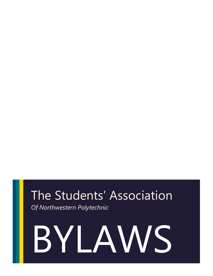## The Students' Association

*Of Northwestern Polytechnic*

# BYLAWS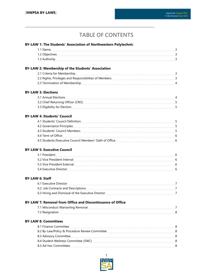### **TABLE OF CONTENTS**

| BY-LAW 1: The Students' Association of Northwestern Polytechnic                                                                                                                                                                |  |
|--------------------------------------------------------------------------------------------------------------------------------------------------------------------------------------------------------------------------------|--|
|                                                                                                                                                                                                                                |  |
|                                                                                                                                                                                                                                |  |
|                                                                                                                                                                                                                                |  |
| BY-LAW 2: Membership of the Students' Association                                                                                                                                                                              |  |
|                                                                                                                                                                                                                                |  |
| 2.2 Rights, Privileges and Responsibilities of Members [11] [12] Rights, Privileges and Responsibilities of Members                                                                                                            |  |
| 2.3 Termination of Membership 2.3 Termination of Membership                                                                                                                                                                    |  |
| <b>BY-LAW 3: Elections</b>                                                                                                                                                                                                     |  |
|                                                                                                                                                                                                                                |  |
|                                                                                                                                                                                                                                |  |
|                                                                                                                                                                                                                                |  |
| <b>BY-LAW 4: Students' Council</b>                                                                                                                                                                                             |  |
|                                                                                                                                                                                                                                |  |
|                                                                                                                                                                                                                                |  |
|                                                                                                                                                                                                                                |  |
|                                                                                                                                                                                                                                |  |
|                                                                                                                                                                                                                                |  |
| <b>BY-LAW 5: Executive Council</b>                                                                                                                                                                                             |  |
|                                                                                                                                                                                                                                |  |
|                                                                                                                                                                                                                                |  |
| 5.3 Vice President External External External External External Extensive Extendion External External External External External External External External External External External External External External External Ext |  |
|                                                                                                                                                                                                                                |  |
| <b>BY-LAW 6: Staff</b>                                                                                                                                                                                                         |  |
|                                                                                                                                                                                                                                |  |
| 6.2. Job Contracts and Descriptions [10] The Contracts and Descriptions [10] The Contracts and Descriptions [10] T                                                                                                             |  |
|                                                                                                                                                                                                                                |  |
| BY-LAW 7: Removal from Office and Discontinuance of Office                                                                                                                                                                     |  |
|                                                                                                                                                                                                                                |  |
|                                                                                                                                                                                                                                |  |
| <b>BY-LAW 8: Committees</b>                                                                                                                                                                                                    |  |
| 8.1 Finance Committee                                                                                                                                                                                                          |  |
|                                                                                                                                                                                                                                |  |
|                                                                                                                                                                                                                                |  |
|                                                                                                                                                                                                                                |  |
|                                                                                                                                                                                                                                |  |
|                                                                                                                                                                                                                                |  |

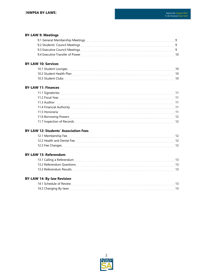#### **BY-LAW 9: Meetings**

| 9.1 General Membership Meetings |    |
|---------------------------------|----|
| 9.2 Students' Council Meetings  |    |
| 9.3 Executive Council Meetings  |    |
| 9.4 Executive Transfer of Power | 10 |
|                                 |    |

#### **BY-LAW 10: Services**

| 10.1 Student Lounges     |  |
|--------------------------|--|
| 10.2 Student Health Plan |  |
| 10.3 Student Clubs       |  |

#### **BY-LAW 11: Finances**

| 11.1 Signatories           |    |
|----------------------------|----|
|                            |    |
| 11.3 Auditor               |    |
| 11.4 Financial Authority   |    |
|                            |    |
|                            | 12 |
| 11.7 Inspection of Records | 12 |
|                            |    |

#### **BY-LAW 12: Students' Association Fees**

| 12.1 Membership Fee        |  |
|----------------------------|--|
| 12.2 Health and Dental Fee |  |
| 12.3 Fee Changes           |  |

#### **BY-LAW 13: Referendum**

| 13.1 Calling a Referendum |  |
|---------------------------|--|
| 13.2 Referendum Questions |  |
| 13.3 Referendum Results   |  |

#### **BY-LAW 14: By-law Revision**

| 14.1 Schedule of Review |  |
|-------------------------|--|
| 14.2 Changing By-laws   |  |

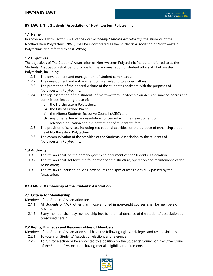#### **BY-LAW 1: The Students' Association of Northwestern Polytechnic**

#### **1.1 Name**

In accordance with *Section 93(1)* of the *Post Secondary Learning Act (Alberta)*, the students of the Northwestern Polytechnic (NWP) shall be incorporated as the Students' Association of Northwestern Polytechnic also referred to as (NWPSA).

#### **1.2 Objectives**

The objectives of The Students' Association of Northwestern Polytechnic (hereafter referred to as the Students' Association) shall be to provide for the administration of student affairs at Northwestern Polytechnic, including:

- 1.2.1 The development and management of student committees;
- 1.2.2 The development and enforcement of rules relating to student affairs;
- 1.2.3 The promotion of the general welfare of the students consistent with the purposes of Northwestern Polytechnic;
- 1.2.4 The representation of the students of Northwestern Polytechnic on decision-making boards and committees, including those of:
	- a) the Northwestern Polytechnic;
	- b) the City of Grande Prairie;
	- c) the Alberta Students Executive Council (ASEC); and
	- d) any other external representation concerned with the development of advanced education and the betterment of student welfare.
- 1.2.5 The provision of services, including recreational activities for the purpose of enhancing student life at Northwestern Polytechnic;
- 1.2.6 The communication of the activities of the Students' Association to the students of Northwestern Polytechnic.

#### **1.3 Authority**

- 1.3.1 The By-laws shall be the primary governing document of the Students' Association;
- 1.3.2 The By-laws shall set forth the foundation for the structure, operation and maintenance of the Association;
- 1.3.3 The By-laws supersede policies, procedures and special resolutions duly passed by the Association.

#### **BY-LAW 2: Membership of the Students' Association**

#### **2.1 Criteria for Membership**

Members of the Students' Association are:

- 2.1.1 All students of NWP, other than those enrolled in non-credit courses, shall be members of NWPSA;
- 2.1.2 Every member shall pay membership fees for the maintenance of the students' association as prescribed herein.

#### **2.2 Rights, Privileges and Responsibilities of Members**

Members of the Students' Association shall have the following rights, privileges and responsibilities:

- 2.2.1 To vote in all Students' Association elections and referenda;
- 2.2.2 To run for election or be appointed to a position on the Students' Council or Executive Council of the Students' Association, having met all eligibility requirements;

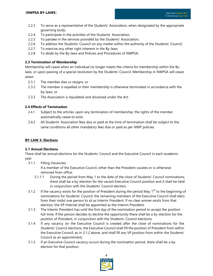- 2.2.3 To serve as a representative of the Students' Association, when designated by the appropriate governing body;
- 2.2.4 To participate in the activities of the Students' Association;
- 2.2.5 To partake in the services provided by the Students' Association;
- 2.2.6 To address the Students' Council on any matter within the authority of the Students' Council;
- 2.2.7 To exercise any other right inherent in the By-laws;
- 2.2.8 To abide by the By-laws and Policies and Procedures of NWPSA.

#### **2.3 Termination of Membership**

Membership will cease when an individual no longer meets the criteria for membership within the Bylaws, or upon passing of a special resolution by the Students' Council. Membership in NWPSA will cease when:

- 2.3.1 The member dies or resigns; or
- 2.3.2 The member is expelled or their membership is otherwise terminated in accordance with the by-laws; or
- 2.3.3 The Association is liquidated and dissolved under the Act.

#### **2.4 Effects of Termination**

- 2.4.1 Subject to the articles, upon any termination of membership, the rights of the member automatically cease to exist;
- 2.4.2 All Students' Association fees due or paid at the time of termination shall be subject to the same conditions all other mandatory fees due or paid as per NWP policies.

#### **BY-LAW 3: Elections**

#### **3.1 Annual Elections**

There shall be annual elections for the Students' Council and the Executive Council in each academic year.

3.1.1 Filling Vacancies:

If a member of the Executive Council, other than the President vacates or is otherwise removed from office:

- 3.1.1.1 During the period from May 1 to the date of the close of Students' Council nominations, there shall be a by-election for the vacant Executive Council position and it shall be held in conjunction with the Students' Council election.
- 3.1.2 If the vacancy exists for the position of President during the period May 1<sup>st</sup> to the beginning of nominations for Students' Council, the remaining members of the Executive Council shall elect from their midst one person to sit as Interim President. If no clear winner exists from that election, the VP Internal shall be appointed as the Interim President;
- 3.1.3 The Interim President has until the first day of the nomination period to accept the position full-time. If the person decides to decline the opportunity there shall be a by-election for the position of President, in conjunction with the Students' Council elections;
- 3.1.4 If any vacancy on the Executive Council is created after the close of nominations for the Students' Council elections, the Executive Council shall fill the position of President from within the Executive Council, as in *3.1.2* above, and shall fill any VP position from within the Students' Council as an appointment;
- 3.1.5 If an Executive Council vacancy occurs during the nomination period, there shall be a byelection for that position;

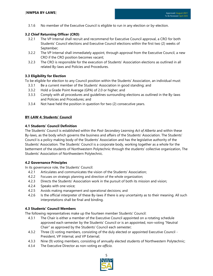3.1.6 No member of the Executive Council is eligible to run in any election or by-election.

#### **3.2 Chief Returning Officer (CRO)**

- 3.2.1 The VP Internal shall recruit and recommend for Executive Council approval, a CRO for both Students' Council elections and Executive Council elections within the first two (2) weeks of September;
- 3.2.2 The VP Internal shall immediately appoint, through approval from the Executive Council, a new CRO if the CRO position becomes vacant;
- 3.2.3 The CRO is responsible for the execution of Students' Association elections as outlined in all related By-laws and Policies and Procedures.

#### **3.3 Eligibility for Election**

To be eligible for election to any Council position within the Students' Association, an individual must:

- 3.3.1 Be a current member of the Students' Association in good standing; and
- 3.3.2 Hold a Grade Point Average (GPA) of 2.0 or higher; and
- 3.3.3 Comply with all procedures and guidelines surrounding elections as outlined in the By-laws and Policies and Procedures; and
- 3.3.4 Not have held the position in question for two (2) consecutive years.

#### **BY-LAW 4: Students' Council**

#### **4.1 Students' Council Definition**

The Students' Council is established within the *Post-Secondary Learning Act of Alberta* and within these By-laws, as the body which governs the business and affairs of the Students' Association. The Students' Council is a policy making body of the Students' Association and has the legislative authority of the Students' Association. The Students' Council is a corporate body, working together as a whole for the betterment of the students of Northwestern Polytechnic through the students' collective organization, The Students' Association of Northwestern Polytechnic.

#### **4.2 Governance Principles**

In its governance role, the Students' Council:

- 4.2.1 Articulates and communicates the vision of the Students' Association;
- 4.2.2 Focuses on strategic planning and direction of the whole organization;
- 4.2.3 Directs the Students' Association work in the pursuit of both its mission and vision;
- 4.2.4 Speaks with one voice;
- 4.2.5 Avoids making management and operational decisions; and
- 4.2.6 Is the official interpreter of these By-laws if there is any uncertainty as to their meaning. All such interpretations shall be final and binding.

#### **4.3 Students' Council Members**

The following representatives make up the fourteen member Students' Council:

- 4.3.1 The Chair is either a member of the Executive Council appointed on a rotating schedule approved each semester by the Students' Council or is an appointed, non-voting "Neutral Chair" as approved by the Students' Council each semester;
- 4.3.2 Three (3) voting members, consisting of the duly elected or appointed Executive Council President, VP Internal, and VP External;
- 4.3.3 Nine (9) voting members, consisting of annually elected students of Northwestern Polytechnic;
- 4.3.4 The Executive Director as non-voting *ex-officio*.

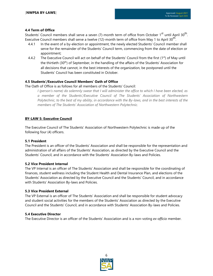#### **4.4 Term of Office**

Students' Council members shall serve a seven (7)-month term of office from October 1<sup>st</sup> until April 30<sup>th</sup>. Executive Council members shall serve a twelve (12)-month term of office from May 1 to April 30<sup>th</sup>.

- 4.4.1 In the event of a by-election or appointment, the newly elected Students' Council member shall serve for the remainder of the Students' Council term, commencing from the date of election or appointment;
- 4.4.2 The Executive Council will act on behalf of the Students' Council from the first  $(1<sup>st</sup>)$  of May until the thirtieth (30<sup>th</sup>) of September, in the handling of the affairs of the Students' Association for all decisions that cannot, in the best interests of the organization, be postponed until the Students' Council has been constituted in October.

#### **4.5 Students'/Executive Council Members' Oath of Office**

The Oath of Office is as follows for all members of the Students' Council:

*I (person's name) do solemnly swear that I will administer the office to which I have been elected, as a member of the Students'/Executive Council of The Students' Association of Northwestern Polytechnic, to the best of my ability, in accordance with the By-laws, and in the best interests of the members of The Students' Association of Northwestern Polytechnic.*

#### **BY-LAW 5: Executive Council**

The Executive Council of The Students' Association of Northwestern Polytechnic is made up of the following four (4) officers.

#### **5.1 President**

The President is an officer of the Students' Association and shall be responsible for the representation and administration of all affairs of the Students' Association, as directed by the Executive Council and the Students' Council, and in accordance with the Students' Association By-laws and Policies.

#### **5.2 Vice President Internal**

The VP Internal is an officer of The Students' Association and shall be responsible for the coordinating of finances, student wellness including the Student Health and Dental Insurance Plan, and elections of the Students' Association as directed by the Executive Council and the Students' Council, and in accordance with Students' Association By-laws and Policies.

#### **5.3 Vice President External**

The VP External is an officer of The Students' Association and shall be responsible for student advocacy and student social activities for the members of the Students' Association as directed by the Executive Council and the Students' Council, and in accordance with Students' Association By-laws and Policies.

#### **5.4 Executive Director**

The Executive Director is an officer of the Students' Association and is a non-voting *ex-officio* member.

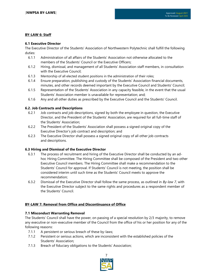#### **BY-LAW 6: Staff**

#### **6.1 Executive Director**

The Executive Director of the Students' Association of Northwestern Polytechnic shall fulfill the following duties:

- 6.1.1 Administration of all affairs of the Students' Association not otherwise allocated to the members of the Students' Council or the Executive Officers;
- 6.1.2 Hiring, dismissal, and management of all Students' Association staff members, in consultation with the Executive Council;
- 6.1.3 Mentorship of all elected student positions in the administration of their roles;
- 6.1.4 Ensure preparation, publishing and custody of the Students' Association financial documents, minutes, and other records deemed important by the Executive Council and Students' Council;
- 6.1.5 Representation of the Students' Association in any capacity feasible, in the event that the usual Students' Association member is unavailable for representation; and;
- 6.1.6 Any and all other duties as prescribed by the Executive Council and the Students' Council.

#### **6.2. Job Contracts and Descriptions**

- 6.2.1 Job contracts and job descriptions, signed by both the employee in question, the Executive Director, and the President of the Students' Association, are required for all full-time staff of the Students' Association;
- 6.2.2 The President of the Students' Association shall possess a signed original copy of the Executive Director's job contract and description; and
- 6.2.3 The Executive Director shall possess a signed original copy of all other job contracts and descriptions.

#### **6.3 Hiring and Dismissal of the Executive Director**

- 6.3.1 The process of recruitment and hiring of the Executive Director shall be conducted by an adhoc Hiring Committee. The Hiring Committee shall be composed of the President and two other Executive Council members. The Hiring Committee shall make a recommendation to the Students' Council for approval. If Students' Council is not meeting, the position shall be considered interim until such time as the Students' Council meets to approve the recommendation;
- 6.3.2 Dismissal of the Executive Director shall follow the same process, as outlined in *By-law 7*, with the Executive Director subject to the same rights and procedures as a respondent member of the Students' Council.

#### **BY-LAW 7: Removal from Office and Discontinuance of Office**

#### **7.1 Misconduct Warranting Removal**

The Students' Council shall have the power, on passing of a special resolution by 2/3 majority, to remove any executive or non-executive member of the Council from the office of his or her position for any of the following reasons:

- 7.1.1 A persistent or serious breach of these by-laws;
- 7.1.2 Persistent or serious actions, which are inconsistent with the established policies of the Students' Association;
- 7.1.3 Breach of fiduciary obligations to the Students' Association;

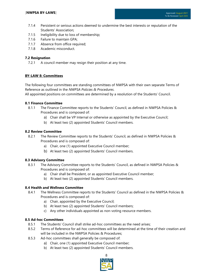- 7.1.4 Persistent or serious actions deemed to undermine the best interests or reputation of the Students' Association;
- 7.1.5 Ineligibility due to loss of membership;
- 7.1.6 Failure to maintain GPA;
- 7.1.7 Absence from office required;
- 7.1.8 Academic misconduct.

#### **7.2 Resignation**

7.2.1 A council member may resign their position at any time.

#### **BY-LAW 8: Committees**

The following four committees are standing committees of NWPSA with their own separate Terms of Reference as outlined in the *NWPSA Policies & Procedures*.

All appointed positions on committees are determined by a resolution of the Students' Council.

#### **8.1 Finance Committee**

- 8.1.1 The Finance Committee reports to the Students' Council, as defined in NWPSA Policies & Procedures and is composed of:
	- a) Chair shall be VP Internal or otherwise as appointed by the Executive Council;
	- b) At least two (2) appointed Students' Council members.

#### **8.2 Review Committee**

- 8.2.1 The Review Committee reports to the Students' Council, as defined in NWPSA Policies & Procedures and is composed of:
	- a) Chair, one (1) appointed Executive Council member;
	- b) At least two (2) appointed Students' Council members.

#### **8.3 Advisory Committee**

- 8.3.1 The Advisory Committee reports to the Students' Council, as defined in NWPSA Policies & Procedures and is composed of:
	- a) Chair shall be President, or as appointed Executive Council member;
	- b) At least two (2) appointed Students' Council members.

#### **8.4 Health and Wellness Committee**

- 8.4.1 The Wellness Committee reports to the Students' Council as defined in the NWPSA Policies & Procedures and is composed of:
	- a) Chair, appointed by the Executive Council;
	- b) At least two (2) appointed Students' Council members;
	- c) Any other individuals appointed as non-voting resource members.

#### **8.5 Ad-hoc Committees**

- 8.5.1 The Students' Council shall strike ad-hoc committees as the need arises;
- 8.5.2 Terms of Reference for ad-hoc committees will be determined at the time of their creation and will be included in the NWPSA Policies & Procedures;
- 8.5.3 Ad-hoc committees shall generally be composed of:
	- a) Chair, one (1) appointed Executive Council member;
	- b) At least two (2) appointed Students' Council members.

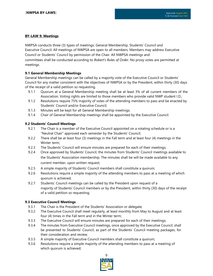#### **BY-LAW 9: Meetings**

NWPSA conducts three (3) types of meetings: General Membership, Students' Council and Executive Council. All meetings of NWPSA are open to all members. Members may address Executive Council or Students' Council by permission of the Chair. All NWPSA meetings and committees shall be conducted according to *Robert's Rules of Order*. No proxy votes are permitted at meetings.

#### **9.1 General Membership Meetings**

General Membership meetings can be called by a majority vote of the Executive Council or Students' Council for any matter consistent with the objectives of NWPSA or by the President, within thirty (30) days of the receipt of a valid petition so requesting.

- 9.1.1 Quorum at a General Membership meeting shall be at least 3% of all current members of the Association. Voting rights are limited to those members who provide valid NWP student I.D.;
- 9.1.2 Resolutions require 75% majority of votes of the attending members to pass and be enacted by Students' Council and/or Executive Council;
- 9.1.3 Minutes will be kept for all General Membership meetings;
- 9.1.4 Chair of General Membership meetings shall be appointed by the Executive Council.

#### **9.2 Students' Council Meetings**

- 9.2.1 The Chair is a member of the Executive Council appointed on a rotating schedule or is a "Neutral Chair" approved each semester by the Students' Council;
- 9.2.2 There shall be at least four (3) meetings in the Fall term and at least four (4) meetings in the Winter term;
- 9.2.3 The Students' Council will ensure minutes are prepared for each of their meetings;
- 9.2.4 Once approved by Students' Council, the minutes from Students' Council meetings available to the Students' Association membership. The minutes shall be will be made available to any current member, upon written request;
- 9.2.5 A simple majority of Students' Council members shall constitute a quorum;
- 9.2.6 Resolutions require a simple majority of the attending members to pass at a meeting of which quorum is achieved;
- 9.2.7 Students' Council meetings can be called by the President upon request of a majority of Students' Council members or by the President, within thirty (30) days of the receipt of a valid petition so requesting.

#### **9.3 Executive Council Meetings**

- 9.3.1 The Chair is the President of the Students' Association or delegate;
- 9.3.2 The Executive Council shall meet regularly, at least monthly from May to August and at least four (4) times in the Fall term and in the Winter term;
- 9.3.3 The Executive Council will ensure minutes are prepared for each of their meetings;
- 9.3.4 The minutes from Executive Council meetings, once approved by the Executive Council, shall be presented to Students' Council, as part of the Students' Council meeting packages, for their consideration and review;
- 9.3.5 A simple majority of Executive Council members shall constitute a quorum;
- 9.3.6 Resolutions require a simple majority of the attending members to pass at a meeting of which quorum is achieved;

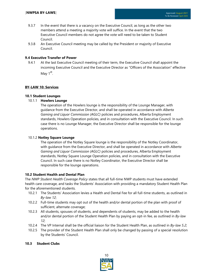- 9.3.7 In the event that there is a vacancy on the Executive Council, as long as the other two members attend a meeting a majority vote will suffice. In the event that the two Executive Council members do not agree the vote will need to be taken to Student Council.
- 9.3.8 An Executive Council meeting may be called by the President or majority of Executive Council.

#### **9.4 Executive Transfer of Power**

9.4.1 At the last Executive Council meeting of their term, the Executive Council shall appoint the incoming Executive Council and the Executive Director as "Officers of the Association" effective May 1<sup>st</sup>.

#### **BY-LAW 10: Services**

#### **10.1 Student Lounges**

#### 10.1.1 **Howlers Lounge**

The operation of the Howlers lounge is the responsibility of the Lounge Manager, with guidance from the Executive Director, and shall be operated in accordance with *Alberta Gaming and Liquor Commission (AGLC)* policies and procedures, Alberta Employment standards, Howlers Operation policies, and in consultation with the Executive Council. In such case there is no Lounge Manager, the Executive Director shall be responsible for the lounge operations.

#### 10.1.2 **Notley Square Lounge**

The operation of the Notley Square lounge is the responsibility of the Notley Coordinator, with guidance from the Executive Director, and shall be operated in accordance with *Alberta Gaming and Liquor Commission (AGLC)* policies and procedures, Alberta Employment standards, Notley Square Lounge Operation policies, and in consultation with the Executive Council. In such case there is no Notley Coordinator, the Executive Director shall be responsible for the lounge operations.

#### **10.2 Student Health and Dental Plan**

The *NWP Student Health Coverage Policy* states that all full-time NWP students must have extended health care coverage, and tasks the Students' Association with providing a mandatory Student Health Plan for the aforementioned students.

- 10.2.1 The Students' Association levies a Health and Dental Fee for all full-time students, as outlined in *By-law 12*;
- 10.2.2 Full-time students may opt out of the health and/or dental portion of the plan with proof of sufficient, alternate coverage;
- 10.2.3 All students, spouses of students, and dependents of students, may be added to the health and/or dental portion of the Student Health Plan by paying an opt-in fee, as outlined in *By-law 12*;
- 10.2.4 The VP Internal shall be the official liaison for the Student Health Plan, as outlined in *By-law 5.2*;
- 10.2.5 The provider of the Student Health Plan shall only be changed by passing of a special resolution by the Students' Council.

#### **10.3 Student Clubs**

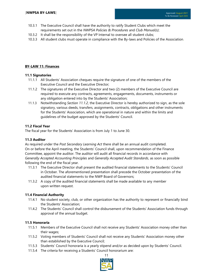- 10.3.1 The Executive Council shall have the authority to ratify Student Clubs which meet the requirements set out in the *NWPSA Policies & Procedures* and *Club Manual(s)*;
- 10.3.2 It shall be the responsibility of the VP Internal to oversee all student clubs;
- 10.3.3 All student clubs must operate in compliance with the By-laws and Policies of the Association.

#### **BY-LAW 11: Finances**

#### **11.1 Signatories**

- 11.1.1 All Students' Association cheques require the signature of one of the members of the Executive Council and the Executive Director;
- 11.1.2 The signatures of the Executive Director and two (2) members of the Executive Council are required to execute any contracts, agreements, engagements, documents, instruments or any obligation entered into by the Students' Association;
- 11.1.3 Notwithstanding *Section 11.1.2*, the Executive Director is hereby authorized to sign, as the sole signatory, various deeds, transfers, assignments, contracts, obligations and other instruments for the Students' Association, which are operational in nature and within the limits and guidelines of the budget approved by the Students' Council.

#### **11.2 Fiscal Year**

The fiscal year for the Students' Association is from July 1 to June 30.

#### **11.3 Auditor**

As required under the *Post Secondary Learning Act* there shall be an annual audit completed. On or before the April meeting, the Students' Council shall, upon recommendation of the Finance Committee, appoint the auditor. The auditor will audit all financial records in accordance with *Generally Accepted Accounting Principles* and *Generally Accepted Audit Standards*, as soon as possible following the end of the fiscal year.

- 11.3.1 The Executive Director shall present the audited financial statements to the Students' Council in October. The aforementioned presentation shall precede the October presentation of the audited financial statements to the NWP Board of Governors;
- 11.3.2 A copy of the audited financial statements shall be made available to any member upon written request.

#### **11.4 Financial Authority**

- 11.4.1 No student society, club, or other organization has the authority to represent or financially bind the Students' Association;
- 11.4.2 The Students' Council shall control the disbursement of the Students' Association funds through approval of the annual budget.

#### **11.5 Honoraria**

- 11.5.1 Members of the Executive Council shall not receive any Students' Association money other than their wages;
- 11.5.2 Voting members of Students' Council shall not receive any Students' Association money other than established by the Executive Council;
- 11.5.3 Students' Council honoraria is a yearly stipend and/or as decided upon by Students' Council.
- 11.5.4 The criteria for receiving a Students' Council honorarium are:

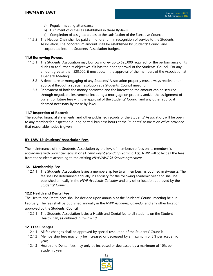- a) Regular meeting attendance;
- b) Fulfilment of duties as established in these By-laws;
- c) Completion of assigned duties to the satisfaction of the Executive Council.
- 11.5.5 The Neutral Chair shall be paid an honorarium in recognition of service to the Students' Association. The honorarium amount shall be established by Students' Council and incorporated into the Students' Association budget.

#### **11.6 Borrowing Powers**

- 11.6.1 The Students' Association may borrow money up to \$20,000 required for the performance of its duties or to further its objectives if it has the prior approval of the Students' Council. For any amount greater than \$20,000, it must obtain the approval of the members of the Association at a General Meeting;
- 11.6.2 A debenture or mortgaging of any Students' Association property must always receive prior approval through a special resolution at a Students' Council meeting;
- 11.6.3 Repayment of both the money borrowed and the interest on the amount can be secured through negotiable instruments including a mortgage on property and/or the assignment of current or future fees with the approval of the Students' Council and any other approval deemed necessary by these by-laws.

#### **11.7 Inspection of Records**

The audited financial statements, and other published records of the Students' Association, will be open to any member for inspection during normal business hours at the Students' Association office provided that reasonable notice is given.

#### **BY-LAW 12: Students' Association Fees**

The maintenance of the Students' Association by the levy of membership fees on its members is in accordance with provincial legislation (*Alberta Post-Secondary Learning Act*). NWP will collect all the fees from the students according to the existing *NWP/NWPSA Service Agreement*.

#### **12.1 Membership Fee**

12.1.1 The Students' Association levies a membership fee to all members, as outlined in *By-law 2*. The fee shall be determined annually in February for the following academic year and shall be published annually in the *NWP Academic Calendar* and any other location approved by the Students' Council.

#### **12.2 Health and Dental Fee**

The Health and Dental fees shall be decided upon annually at the Students' Council meeting held in February. The fees shall be published annually in the *NWP Academic Calendar* and any other location approved by the Students' Council.

12.2.1 The Students' Association levies a Health and Dental fee to all students on the Student Health Plan, as outlined in *By-law 10*.

#### **12.3 Fee Changes**

- 12.4.1 All fee changes shall be approved by special resolution of the Students' Council;
- 12.4.2 Membership fees may only be increased or decreased by a maximum of 5% per academic year;
- 12.4.3 Health and Dental fees may only be increased or decreased by a maximum of 10% per academic year.

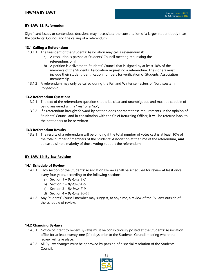#### **BY-LAW 13: Referendum**

Significant issues or contentious decisions may necessitate the consultation of a larger student body than the Students' Council and the calling of a referendum.

#### **13.1 Calling a Referendum**

- 13.1.1 The President of the Students' Association may call a referendum if:
	- a) A resolution is passed at Students' Council meeting requesting the referendum; or if
	- b) A petition is delivered to Students' Council that is signed by at least 10% of the members of the Students' Association requesting a referendum. The signers must include their student identification numbers for verification of Students' Association membership.
- 13.1.2 A referendum may only be called during the Fall and Winter semesters of Northwestern Polytechnic.

#### **13.2 Referendum Questions**

- 13.2.1 The text of the referendum question should be clear and unambiguous and must be capable of being answered with a "yes" or a "no";
- 13.2.2 If a referendum brought forward by petition does not meet these requirements, in the opinion of Students' Council and in consultation with the Chief Returning Officer, it will be referred back to the petitioners to be re-written.

#### **13.3 Referendum Results**

13.3.1 The results of a referendum will be binding if the total number of votes cast is at least 10% of the total number of members of the Students' Association at the time of the referendum**, and** at least a simple majority of those voting support the referendum.

#### **BY-LAW 14: By-law Revision**

#### **14.1 Schedule of Review**

- 14.1.1 Each section of the Students' Association By-laws shall be scheduled for review at least once every four years, according to the following sections:
	- a) Section 1 *By-laws 1-3*
	- b) Section 2 *By-laws 4-6*
	- c) Section 3 *By-laws 7-9*
	- d) Section 4 *By-laws 10-14*
- 14.1.2 Any Students' Council member may suggest, at any time, a review of the By-laws outside of the schedule of review.

#### **14.2 Changing By-laws**

- 14.3.1 Notice of intent to review By-laws must be conspicuously posted at the Students' Association office for at least twenty-one (21) days prior to the Students' Council meeting where the review will take place;
- 14.3.2 All By-law changes must be approved by passing of a special resolution of the Students' Council;